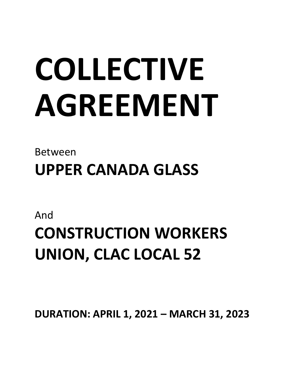# **COLLECTIVE AGREEMENT**

Between **UPPER CANADA GLASS**

And

# **CONSTRUCTION WORKERS UNION, CLAC LOCAL 52**

**DURATION: APRIL 1, 2021 – MARCH 31, 2023**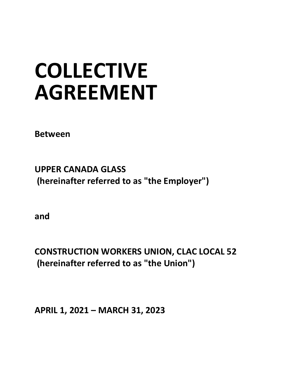# **COLLECTIVE AGREEMENT**

**Between**

**UPPER CANADA GLASS (hereinafter referred to as "the Employer")**

**and**

**CONSTRUCTION WORKERS UNION, CLAC LOCAL 52 (hereinafter referred to as "the Union")**

**APRIL 1, 2021 – MARCH 31, 2023**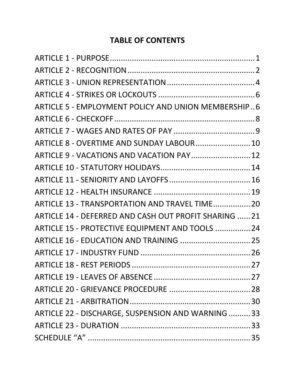# **TABLE OF CONTENTS**

| ARTICLE 5 - EMPLOYMENT POLICY AND UNION MEMBERSHIP6   |  |
|-------------------------------------------------------|--|
|                                                       |  |
|                                                       |  |
| ARTICLE 8 - OVERTIME AND SUNDAY LABOUR 10             |  |
| ARTICLE 9 - VACATIONS AND VACATION PAY 12             |  |
|                                                       |  |
|                                                       |  |
|                                                       |  |
| ARTICLE 13 - TRANSPORTATION AND TRAVEL TIME 20        |  |
| ARTICLE 14 - DEFERRED AND CASH OUT PROFIT SHARING  21 |  |
| ARTICLE 15 - PROTECTIVE EQUIPMENT AND TOOLS  24       |  |
|                                                       |  |
|                                                       |  |
|                                                       |  |
|                                                       |  |
|                                                       |  |
|                                                       |  |
| ARTICLE 22 - DISCHARGE, SUSPENSION AND WARNING 33     |  |
|                                                       |  |
|                                                       |  |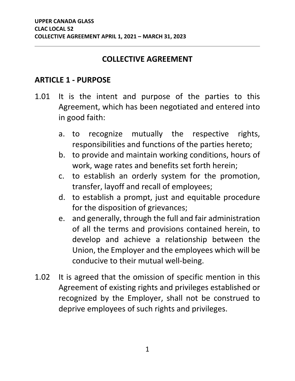#### **COLLECTIVE AGREEMENT**

#### <span id="page-3-0"></span>**ARTICLE 1 - PURPOSE**

- 1.01 It is the intent and purpose of the parties to this Agreement, which has been negotiated and entered into in good faith:
	- a. to recognize mutually the respective rights, responsibilities and functions of the parties hereto;
	- b. to provide and maintain working conditions, hours of work, wage rates and benefits set forth herein;
	- c. to establish an orderly system for the promotion, transfer, layoff and recall of employees;
	- d. to establish a prompt, just and equitable procedure for the disposition of grievances;
	- e. and generally, through the full and fair administration of all the terms and provisions contained herein, to develop and achieve a relationship between the Union, the Employer and the employees which will be conducive to their mutual well-being.
- 1.02 It is agreed that the omission of specific mention in this Agreement of existing rights and privileges established or recognized by the Employer, shall not be construed to deprive employees of such rights and privileges.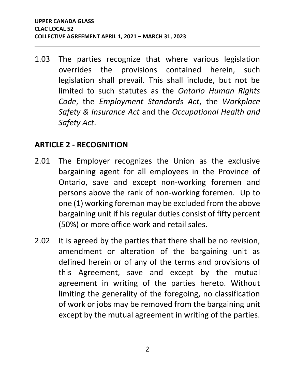1.03 The parties recognize that where various legislation overrides the provisions contained herein, such legislation shall prevail. This shall include, but not be limited to such statutes as the *Ontario Human Rights Code*, the *Employment Standards Act*, the *Workplace Safety & Insurance Act* and the *Occupational Health and Safety Act*.

#### <span id="page-4-0"></span>**ARTICLE 2 - RECOGNITION**

- 2.01 The Employer recognizes the Union as the exclusive bargaining agent for all employees in the Province of Ontario, save and except non-working foremen and persons above the rank of non-working foremen. Up to one (1) working foreman may be excluded from the above bargaining unit if his regular duties consist of fifty percent (50%) or more office work and retail sales.
- 2.02 It is agreed by the parties that there shall be no revision, amendment or alteration of the bargaining unit as defined herein or of any of the terms and provisions of this Agreement, save and except by the mutual agreement in writing of the parties hereto. Without limiting the generality of the foregoing, no classification of work or jobs may be removed from the bargaining unit except by the mutual agreement in writing of the parties.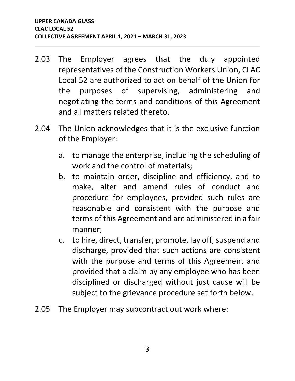- 2.03 The Employer agrees that the duly appointed representatives of the Construction Workers Union, CLAC Local 52 are authorized to act on behalf of the Union for the purposes of supervising, administering and negotiating the terms and conditions of this Agreement and all matters related thereto.
- 2.04 The Union acknowledges that it is the exclusive function of the Employer:
	- a. to manage the enterprise, including the scheduling of work and the control of materials;
	- b. to maintain order, discipline and efficiency, and to make, alter and amend rules of conduct and procedure for employees, provided such rules are reasonable and consistent with the purpose and terms of this Agreement and are administered in a fair manner;
	- c. to hire, direct, transfer, promote, lay off, suspend and discharge, provided that such actions are consistent with the purpose and terms of this Agreement and provided that a claim by any employee who has been disciplined or discharged without just cause will be subject to the grievance procedure set forth below.
- 2.05 The Employer may subcontract out work where: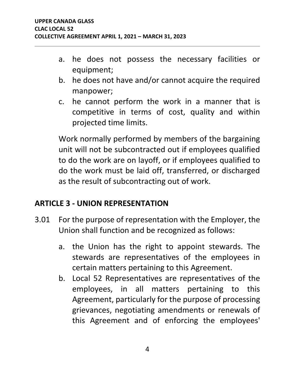- a. he does not possess the necessary facilities or equipment;
- b. he does not have and/or cannot acquire the required manpower;
- c. he cannot perform the work in a manner that is competitive in terms of cost, quality and within projected time limits.

Work normally performed by members of the bargaining unit will not be subcontracted out if employees qualified to do the work are on layoff, or if employees qualified to do the work must be laid off, transferred, or discharged as the result of subcontracting out of work.

# <span id="page-6-0"></span>**ARTICLE 3 - UNION REPRESENTATION**

- 3.01 For the purpose of representation with the Employer, the Union shall function and be recognized as follows:
	- a. the Union has the right to appoint stewards. The stewards are representatives of the employees in certain matters pertaining to this Agreement.
	- b. Local 52 Representatives are representatives of the employees, in all matters pertaining to this Agreement, particularly for the purpose of processing grievances, negotiating amendments or renewals of this Agreement and of enforcing the employees'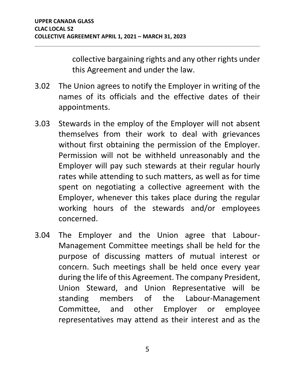collective bargaining rights and any other rights under this Agreement and under the law.

- 3.02 The Union agrees to notify the Employer in writing of the names of its officials and the effective dates of their appointments.
- 3.03 Stewards in the employ of the Employer will not absent themselves from their work to deal with grievances without first obtaining the permission of the Employer. Permission will not be withheld unreasonably and the Employer will pay such stewards at their regular hourly rates while attending to such matters, as well as for time spent on negotiating a collective agreement with the Employer, whenever this takes place during the regular working hours of the stewards and/or employees concerned.
- 3.04 The Employer and the Union agree that Labour-Management Committee meetings shall be held for the purpose of discussing matters of mutual interest or concern. Such meetings shall be held once every year during the life of this Agreement. The company President, Union Steward, and Union Representative will be standing members of the Labour-Management Committee, and other Employer or employee representatives may attend as their interest and as the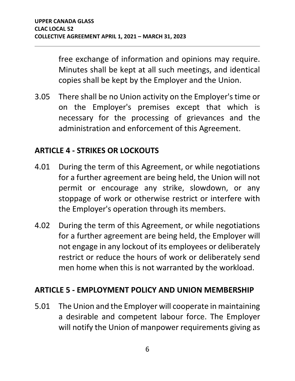free exchange of information and opinions may require. Minutes shall be kept at all such meetings, and identical copies shall be kept by the Employer and the Union.

3.05 There shall be no Union activity on the Employer's time or on the Employer's premises except that which is necessary for the processing of grievances and the administration and enforcement of this Agreement.

# <span id="page-8-0"></span>**ARTICLE 4 - STRIKES OR LOCKOUTS**

- 4.01 During the term of this Agreement, or while negotiations for a further agreement are being held, the Union will not permit or encourage any strike, slowdown, or any stoppage of work or otherwise restrict or interfere with the Employer's operation through its members.
- 4.02 During the term of this Agreement, or while negotiations for a further agreement are being held, the Employer will not engage in any lockout of its employees or deliberately restrict or reduce the hours of work or deliberately send men home when this is not warranted by the workload.

#### <span id="page-8-1"></span>**ARTICLE 5 - EMPLOYMENT POLICY AND UNION MEMBERSHIP**

5.01 The Union and the Employer will cooperate in maintaining a desirable and competent labour force. The Employer will notify the Union of manpower requirements giving as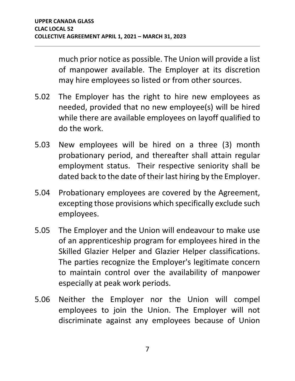much prior notice as possible. The Union will provide a list of manpower available. The Employer at its discretion may hire employees so listed or from other sources.

- 5.02 The Employer has the right to hire new employees as needed, provided that no new employee(s) will be hired while there are available employees on layoff qualified to do the work.
- 5.03 New employees will be hired on a three (3) month probationary period, and thereafter shall attain regular employment status. Their respective seniority shall be dated back to the date of their last hiring by the Employer.
- 5.04 Probationary employees are covered by the Agreement, excepting those provisions which specifically exclude such employees.
- 5.05 The Employer and the Union will endeavour to make use of an apprenticeship program for employees hired in the Skilled Glazier Helper and Glazier Helper classifications. The parties recognize the Employer's legitimate concern to maintain control over the availability of manpower especially at peak work periods.
- 5.06 Neither the Employer nor the Union will compel employees to join the Union. The Employer will not discriminate against any employees because of Union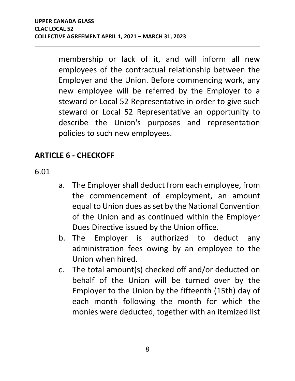membership or lack of it, and will inform all new employees of the contractual relationship between the Employer and the Union. Before commencing work, any new employee will be referred by the Employer to a steward or Local 52 Representative in order to give such steward or Local 52 Representative an opportunity to describe the Union's purposes and representation policies to such new employees.

# <span id="page-10-0"></span>**ARTICLE 6 - CHECKOFF**

6.01

- a. The Employer shall deduct from each employee, from the commencement of employment, an amount equal to Union dues as set by the National Convention of the Union and as continued within the Employer Dues Directive issued by the Union office.
- b. The Employer is authorized to deduct any administration fees owing by an employee to the Union when hired.
- c. The total amount(s) checked off and/or deducted on behalf of the Union will be turned over by the Employer to the Union by the fifteenth (15th) day of each month following the month for which the monies were deducted, together with an itemized list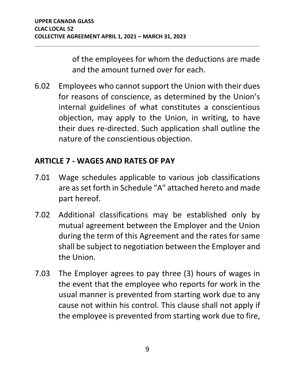of the employees for whom the deductions are made and the amount turned over for each.

6.02 Employees who cannot support the Union with their dues for reasons of conscience, as determined by the Union's internal guidelines of what constitutes a conscientious objection, may apply to the Union, in writing, to have their dues re-directed. Such application shall outline the nature of the conscientious objection.

## <span id="page-11-0"></span>**ARTICLE 7 - WAGES AND RATES OF PAY**

- 7.01 Wage schedules applicable to various job classifications are as set forth in Schedule "A" attached hereto and made part hereof.
- 7.02 Additional classifications may be established only by mutual agreement between the Employer and the Union during the term of this Agreement and the rates for same shall be subject to negotiation between the Employer and the Union.
- 7.03 The Employer agrees to pay three (3) hours of wages in the event that the employee who reports for work in the usual manner is prevented from starting work due to any cause not within his control. This clause shall not apply if the employee is prevented from starting work due to fire,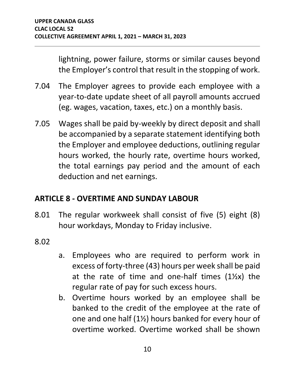lightning, power failure, storms or similar causes beyond the Employer's control that result in the stopping of work.

- 7.04 The Employer agrees to provide each employee with a year-to-date update sheet of all payroll amounts accrued (eg. wages, vacation, taxes, etc.) on a monthly basis.
- 7.05 Wages shall be paid by-weekly by direct deposit and shall be accompanied by a separate statement identifying both the Employer and employee deductions, outlining regular hours worked, the hourly rate, overtime hours worked, the total earnings pay period and the amount of each deduction and net earnings.

# <span id="page-12-0"></span>**ARTICLE 8 - OVERTIME AND SUNDAY LABOUR**

- 8.01 The regular workweek shall consist of five (5) eight (8) hour workdays, Monday to Friday inclusive.
- 8.02
- a. Employees who are required to perform work in excess of forty-three (43) hours per week shall be paid at the rate of time and one-half times  $(1\frac{1}{2}x)$  the regular rate of pay for such excess hours.
- b. Overtime hours worked by an employee shall be banked to the credit of the employee at the rate of one and one half (1½) hours banked for every hour of overtime worked. Overtime worked shall be shown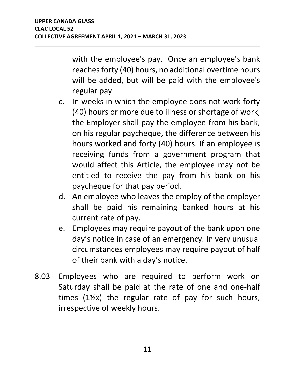with the employee's pay. Once an employee's bank reaches forty (40) hours, no additional overtime hours will be added, but will be paid with the employee's regular pay.

- c. In weeks in which the employee does not work forty (40) hours or more due to illness or shortage of work, the Employer shall pay the employee from his bank, on his regular paycheque, the difference between his hours worked and forty (40) hours. If an employee is receiving funds from a government program that would affect this Article, the employee may not be entitled to receive the pay from his bank on his paycheque for that pay period.
- d. An employee who leaves the employ of the employer shall be paid his remaining banked hours at his current rate of pay.
- e. Employees may require payout of the bank upon one day's notice in case of an emergency. In very unusual circumstances employees may require payout of half of their bank with a day's notice.
- 8.03 Employees who are required to perform work on Saturday shall be paid at the rate of one and one-half times (1½x) the regular rate of pay for such hours, irrespective of weekly hours.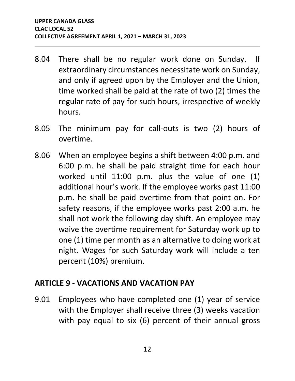- 8.04 There shall be no regular work done on Sunday. If extraordinary circumstances necessitate work on Sunday, and only if agreed upon by the Employer and the Union, time worked shall be paid at the rate of two (2) times the regular rate of pay for such hours, irrespective of weekly hours.
- 8.05 The minimum pay for call-outs is two (2) hours of overtime.
- 8.06 When an employee begins a shift between 4:00 p.m. and 6:00 p.m. he shall be paid straight time for each hour worked until 11:00 p.m. plus the value of one (1) additional hour's work. If the employee works past 11:00 p.m. he shall be paid overtime from that point on. For safety reasons, if the employee works past 2:00 a.m. he shall not work the following day shift. An employee may waive the overtime requirement for Saturday work up to one (1) time per month as an alternative to doing work at night. Wages for such Saturday work will include a ten percent (10%) premium.

#### <span id="page-14-0"></span>**ARTICLE 9 - VACATIONS AND VACATION PAY**

9.01 Employees who have completed one (1) year of service with the Employer shall receive three (3) weeks vacation with pay equal to six (6) percent of their annual gross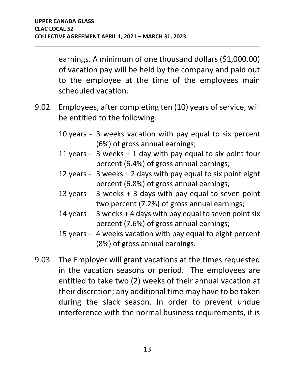earnings. A minimum of one thousand dollars (\$1,000.00) of vacation pay will be held by the company and paid out to the employee at the time of the employees main scheduled vacation.

- 9.02 Employees, after completing ten (10) years of service, will be entitled to the following:
	- 10 years 3 weeks vacation with pay equal to six percent (6%) of gross annual earnings;
	- 11 years 3 weeks + 1 day with pay equal to six point four percent (6.4%) of gross annual earnings;
	- 12 years 3 weeks + 2 days with pay equal to six point eight percent (6.8%) of gross annual earnings;
	- 13 years 3 weeks + 3 days with pay equal to seven point two percent (7.2%) of gross annual earnings;
	- 14 years 3 weeks + 4 days with pay equal to seven point six percent (7.6%) of gross annual earnings;
	- 15 years 4 weeks vacation with pay equal to eight percent (8%) of gross annual earnings.
- 9.03 The Employer will grant vacations at the times requested in the vacation seasons or period. The employees are entitled to take two (2) weeks of their annual vacation at their discretion; any additional time may have to be taken during the slack season. In order to prevent undue interference with the normal business requirements, it is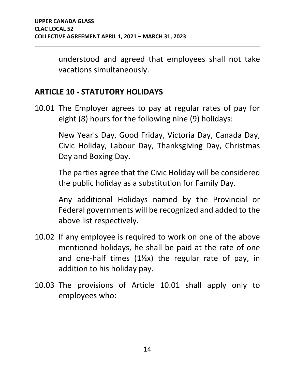understood and agreed that employees shall not take vacations simultaneously.

#### <span id="page-16-0"></span>**ARTICLE 10 - STATUTORY HOLIDAYS**

10.01 The Employer agrees to pay at regular rates of pay for eight (8) hours for the following nine (9) holidays:

> New Year's Day, Good Friday, Victoria Day, Canada Day, Civic Holiday, Labour Day, Thanksgiving Day, Christmas Day and Boxing Day.

> The parties agree that the Civic Holiday will be considered the public holiday as a substitution for Family Day.

> Any additional Holidays named by the Provincial or Federal governments will be recognized and added to the above list respectively.

- 10.02 If any employee is required to work on one of the above mentioned holidays, he shall be paid at the rate of one and one-half times  $(1)/2x$  the regular rate of pay, in addition to his holiday pay.
- 10.03 The provisions of Article 10.01 shall apply only to employees who: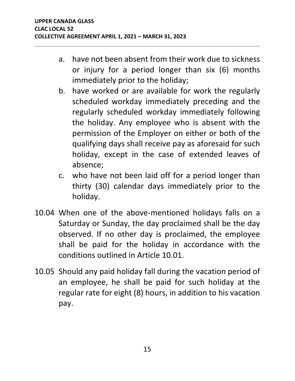- a. have not been absent from their work due to sickness or injury for a period longer than six (6) months immediately prior to the holiday;
- b. have worked or are available for work the regularly scheduled workday immediately preceding and the regularly scheduled workday immediately following the holiday. Any employee who is absent with the permission of the Employer on either or both of the qualifying days shall receive pay as aforesaid for such holiday, except in the case of extended leaves of absence;
- c. who have not been laid off for a period longer than thirty (30) calendar days immediately prior to the holiday.
- 10.04 When one of the above-mentioned holidays falls on a Saturday or Sunday, the day proclaimed shall be the day observed. If no other day is proclaimed, the employee shall be paid for the holiday in accordance with the conditions outlined in Article 10.01.
- 10.05 Should any paid holiday fall during the vacation period of an employee, he shall be paid for such holiday at the regular rate for eight (8) hours, in addition to his vacation pay.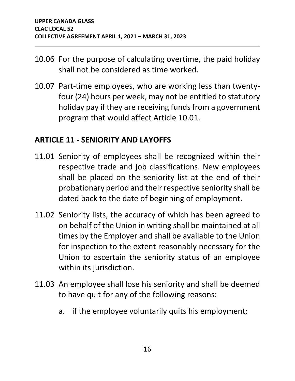- 10.06 For the purpose of calculating overtime, the paid holiday shall not be considered as time worked.
- 10.07 Part-time employees, who are working less than twentyfour (24) hours per week, may not be entitled to statutory holiday pay if they are receiving funds from a government program that would affect Article 10.01.

#### <span id="page-18-0"></span>**ARTICLE 11 - SENIORITY AND LAYOFFS**

- 11.01 Seniority of employees shall be recognized within their respective trade and job classifications. New employees shall be placed on the seniority list at the end of their probationary period and their respective seniority shall be dated back to the date of beginning of employment.
- 11.02 Seniority lists, the accuracy of which has been agreed to on behalf of the Union in writing shall be maintained at all times by the Employer and shall be available to the Union for inspection to the extent reasonably necessary for the Union to ascertain the seniority status of an employee within its jurisdiction.
- 11.03 An employee shall lose his seniority and shall be deemed to have quit for any of the following reasons:
	- a. if the employee voluntarily quits his employment;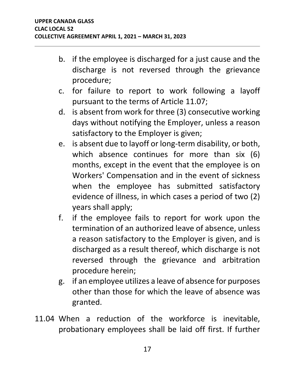- b. if the employee is discharged for a just cause and the discharge is not reversed through the grievance procedure;
- c. for failure to report to work following a layoff pursuant to the terms of Article 11.07;
- d. is absent from work for three (3) consecutive working days without notifying the Employer, unless a reason satisfactory to the Employer is given;
- e. is absent due to layoff or long-term disability, or both, which absence continues for more than six (6) months, except in the event that the employee is on Workers' Compensation and in the event of sickness when the employee has submitted satisfactory evidence of illness, in which cases a period of two (2) years shall apply;
- f. if the employee fails to report for work upon the termination of an authorized leave of absence, unless a reason satisfactory to the Employer is given, and is discharged as a result thereof, which discharge is not reversed through the grievance and arbitration procedure herein;
- g. if an employee utilizes a leave of absence for purposes other than those for which the leave of absence was granted.
- 11.04 When a reduction of the workforce is inevitable, probationary employees shall be laid off first. If further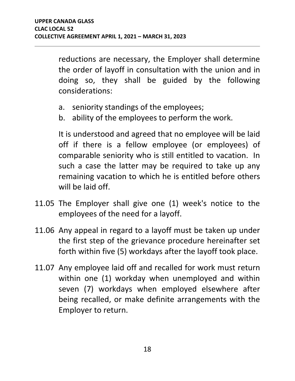reductions are necessary, the Employer shall determine the order of layoff in consultation with the union and in doing so, they shall be guided by the following considerations:

- a. seniority standings of the employees;
- b. ability of the employees to perform the work.

It is understood and agreed that no employee will be laid off if there is a fellow employee (or employees) of comparable seniority who is still entitled to vacation. In such a case the latter may be required to take up any remaining vacation to which he is entitled before others will be laid off.

- 11.05 The Employer shall give one (1) week's notice to the employees of the need for a layoff.
- 11.06 Any appeal in regard to a layoff must be taken up under the first step of the grievance procedure hereinafter set forth within five (5) workdays after the layoff took place.
- 11.07 Any employee laid off and recalled for work must return within one (1) workday when unemployed and within seven (7) workdays when employed elsewhere after being recalled, or make definite arrangements with the Employer to return.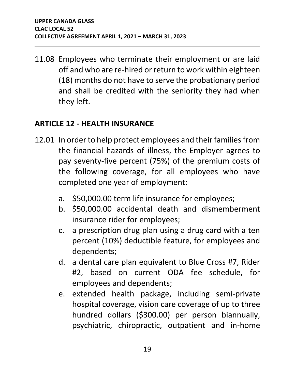11.08 Employees who terminate their employment or are laid off and who are re-hired or return to work within eighteen (18) months do not have to serve the probationary period and shall be credited with the seniority they had when they left.

## <span id="page-21-0"></span>**ARTICLE 12 - HEALTH INSURANCE**

- 12.01 In order to help protect employees and their families from the financial hazards of illness, the Employer agrees to pay seventy-five percent (75%) of the premium costs of the following coverage, for all employees who have completed one year of employment:
	- a. \$50,000.00 term life insurance for employees;
	- b. \$50,000.00 accidental death and dismemberment insurance rider for employees;
	- c. a prescription drug plan using a drug card with a ten percent (10%) deductible feature, for employees and dependents;
	- d. a dental care plan equivalent to Blue Cross #7, Rider #2, based on current ODA fee schedule, for employees and dependents;
	- e. extended health package, including semi-private hospital coverage, vision care coverage of up to three hundred dollars (\$300.00) per person biannually, psychiatric, chiropractic, outpatient and in-home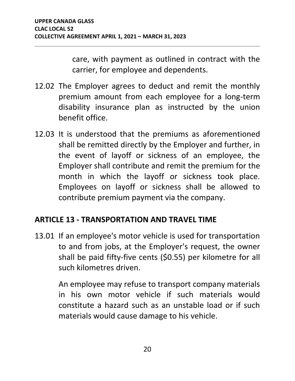care, with payment as outlined in contract with the carrier, for employee and dependents.

- 12.02 The Employer agrees to deduct and remit the monthly premium amount from each employee for a long-term disability insurance plan as instructed by the union benefit office.
- 12.03 It is understood that the premiums as aforementioned shall be remitted directly by the Employer and further, in the event of layoff or sickness of an employee, the Employer shall contribute and remit the premium for the month in which the layoff or sickness took place. Employees on layoff or sickness shall be allowed to contribute premium payment via the company.

# <span id="page-22-0"></span>**ARTICLE 13 - TRANSPORTATION AND TRAVEL TIME**

13.01 If an employee's motor vehicle is used for transportation to and from jobs, at the Employer's request, the owner shall be paid fifty-five cents (\$0.55) per kilometre for all such kilometres driven.

> An employee may refuse to transport company materials in his own motor vehicle if such materials would constitute a hazard such as an unstable load or if such materials would cause damage to his vehicle.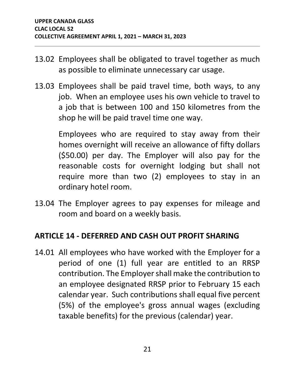- 13.02 Employees shall be obligated to travel together as much as possible to eliminate unnecessary car usage.
- 13.03 Employees shall be paid travel time, both ways, to any job. When an employee uses his own vehicle to travel to a job that is between 100 and 150 kilometres from the shop he will be paid travel time one way.

Employees who are required to stay away from their homes overnight will receive an allowance of fifty dollars (\$50.00) per day. The Employer will also pay for the reasonable costs for overnight lodging but shall not require more than two (2) employees to stay in an ordinary hotel room.

13.04 The Employer agrees to pay expenses for mileage and room and board on a weekly basis.

# <span id="page-23-0"></span>**ARTICLE 14 - DEFERRED AND CASH OUT PROFIT SHARING**

14.01 All employees who have worked with the Employer for a period of one (1) full year are entitled to an RRSP contribution. The Employer shall make the contribution to an employee designated RRSP prior to February 15 each calendar year. Such contributions shall equal five percent (5%) of the employee's gross annual wages (excluding taxable benefits) for the previous (calendar) year.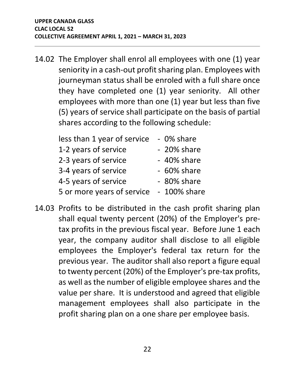14.02 The Employer shall enrol all employees with one (1) year seniority in a cash-out profit sharing plan. Employees with journeyman status shall be enroled with a full share once they have completed one (1) year seniority. All other employees with more than one (1) year but less than five (5) years of service shall participate on the basis of partial shares according to the following schedule:

| less than 1 year of service | - 0% share     |
|-----------------------------|----------------|
| 1-2 years of service        | - 20% share    |
| 2-3 years of service        | - 40% share    |
| 3-4 years of service        | - 60% share    |
| 4-5 years of service        | - 80% share    |
| 5 or more years of service  | $-100\%$ share |

14.03 Profits to be distributed in the cash profit sharing plan shall equal twenty percent (20%) of the Employer's pretax profits in the previous fiscal year. Before June 1 each year, the company auditor shall disclose to all eligible employees the Employer's federal tax return for the previous year. The auditor shall also report a figure equal to twenty percent (20%) of the Employer's pre-tax profits, as well as the number of eligible employee shares and the value per share. It is understood and agreed that eligible management employees shall also participate in the profit sharing plan on a one share per employee basis.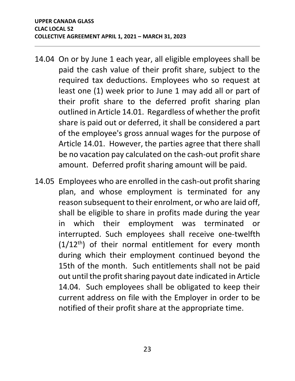- 14.04 On or by June 1 each year, all eligible employees shall be paid the cash value of their profit share, subject to the required tax deductions. Employees who so request at least one (1) week prior to June 1 may add all or part of their profit share to the deferred profit sharing plan outlined in Article 14.01. Regardless of whether the profit share is paid out or deferred, it shall be considered a part of the employee's gross annual wages for the purpose of Article 14.01. However, the parties agree that there shall be no vacation pay calculated on the cash-out profit share amount. Deferred profit sharing amount will be paid.
- 14.05 Employees who are enrolled in the cash-out profit sharing plan, and whose employment is terminated for any reason subsequent to their enrolment, or who are laid off, shall be eligible to share in profits made during the year in which their employment was terminated or interrupted. Such employees shall receive one-twelfth  $(1/12<sup>th</sup>)$  of their normal entitlement for every month during which their employment continued beyond the 15th of the month. Such entitlements shall not be paid out until the profit sharing payout date indicated in Article 14.04. Such employees shall be obligated to keep their current address on file with the Employer in order to be notified of their profit share at the appropriate time.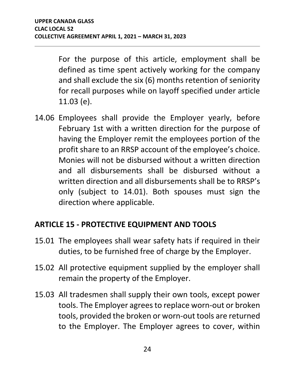For the purpose of this article, employment shall be defined as time spent actively working for the company and shall exclude the six (6) months retention of seniority for recall purposes while on layoff specified under article 11.03 (e).

14.06 Employees shall provide the Employer yearly, before February 1st with a written direction for the purpose of having the Employer remit the employees portion of the profit share to an RRSP account of the employee's choice. Monies will not be disbursed without a written direction and all disbursements shall be disbursed without a written direction and all disbursements shall be to RRSP's only (subject to 14.01). Both spouses must sign the direction where applicable.

# <span id="page-26-0"></span>**ARTICLE 15 - PROTECTIVE EQUIPMENT AND TOOLS**

- 15.01 The employees shall wear safety hats if required in their duties, to be furnished free of charge by the Employer.
- 15.02 All protective equipment supplied by the employer shall remain the property of the Employer.
- 15.03 All tradesmen shall supply their own tools, except power tools. The Employer agrees to replace worn-out or broken tools, provided the broken or worn-out tools are returned to the Employer. The Employer agrees to cover, within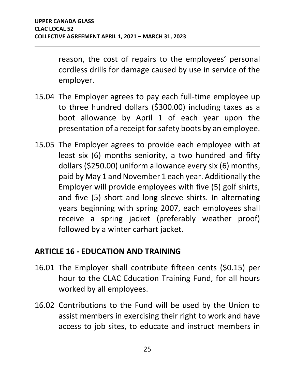reason, the cost of repairs to the employees' personal cordless drills for damage caused by use in service of the employer.

- 15.04 The Employer agrees to pay each full-time employee up to three hundred dollars (\$300.00) including taxes as a boot allowance by April 1 of each year upon the presentation of a receipt for safety boots by an employee.
- 15.05 The Employer agrees to provide each employee with at least six (6) months seniority, a two hundred and fifty dollars (\$250.00) uniform allowance every six (6) months, paid by May 1 and November 1 each year. Additionally the Employer will provide employees with five (5) golf shirts, and five (5) short and long sleeve shirts. In alternating years beginning with spring 2007, each employees shall receive a spring jacket (preferably weather proof) followed by a winter carhart jacket.

# <span id="page-27-0"></span>**ARTICLE 16 - EDUCATION AND TRAINING**

- 16.01 The Employer shall contribute fifteen cents (\$0.15) per hour to the CLAC Education Training Fund, for all hours worked by all employees.
- 16.02 Contributions to the Fund will be used by the Union to assist members in exercising their right to work and have access to job sites, to educate and instruct members in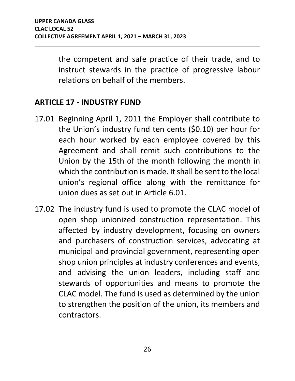the competent and safe practice of their trade, and to instruct stewards in the practice of progressive labour relations on behalf of the members.

#### <span id="page-28-0"></span>**ARTICLE 17 - INDUSTRY FUND**

- 17.01 Beginning April 1, 2011 the Employer shall contribute to the Union's industry fund ten cents (\$0.10) per hour for each hour worked by each employee covered by this Agreement and shall remit such contributions to the Union by the 15th of the month following the month in which the contribution is made. It shall be sent to the local union's regional office along with the remittance for union dues as set out in Article 6.01.
- 17.02 The industry fund is used to promote the CLAC model of open shop unionized construction representation. This affected by industry development, focusing on owners and purchasers of construction services, advocating at municipal and provincial government, representing open shop union principles at industry conferences and events, and advising the union leaders, including staff and stewards of opportunities and means to promote the CLAC model. The fund is used as determined by the union to strengthen the position of the union, its members and contractors.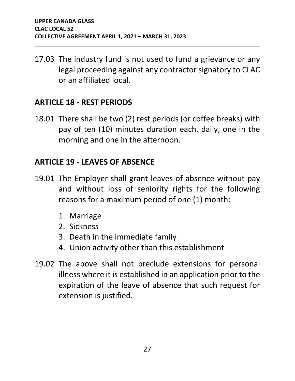17.03 The industry fund is not used to fund a grievance or any legal proceeding against any contractor signatory to CLAC or an affiliated local.

#### <span id="page-29-0"></span>**ARTICLE 18 - REST PERIODS**

18.01 There shall be two (2) rest periods (or coffee breaks) with pay of ten (10) minutes duration each, daily, one in the morning and one in the afternoon.

# <span id="page-29-1"></span>**ARTICLE 19 - LEAVES OF ABSENCE**

- 19.01 The Employer shall grant leaves of absence without pay and without loss of seniority rights for the following reasons for a maximum period of one (1) month:
	- 1. Marriage
	- 2. Sickness
	- 3. Death in the immediate family
	- 4. Union activity other than this establishment
- 19.02 The above shall not preclude extensions for personal illness where it is established in an application prior to the expiration of the leave of absence that such request for extension is justified.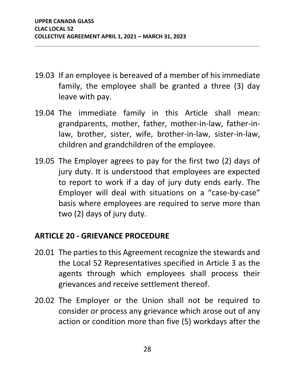- 19.03 If an employee is bereaved of a member of his immediate family, the employee shall be granted a three (3) day leave with pay.
- 19.04 The immediate family in this Article shall mean: grandparents, mother, father, mother-in-law, father-inlaw, brother, sister, wife, brother-in-law, sister-in-law, children and grandchildren of the employee.
- 19.05 The Employer agrees to pay for the first two (2) days of jury duty. It is understood that employees are expected to report to work if a day of jury duty ends early. The Employer will deal with situations on a "case-by-case" basis where employees are required to serve more than two (2) days of jury duty.

# <span id="page-30-0"></span>**ARTICLE 20 - GRIEVANCE PROCEDURE**

- 20.01 The parties to this Agreement recognize the stewards and the Local 52 Representatives specified in Article 3 as the agents through which employees shall process their grievances and receive settlement thereof.
- 20.02 The Employer or the Union shall not be required to consider or process any grievance which arose out of any action or condition more than five (5) workdays after the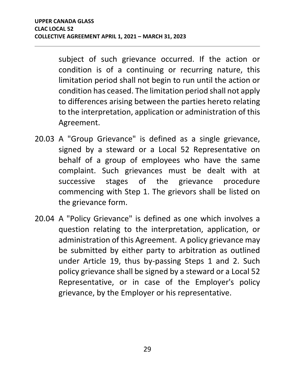subject of such grievance occurred. If the action or condition is of a continuing or recurring nature, this limitation period shall not begin to run until the action or condition has ceased. The limitation period shall not apply to differences arising between the parties hereto relating to the interpretation, application or administration of this Agreement.

- 20.03 A "Group Grievance" is defined as a single grievance, signed by a steward or a Local 52 Representative on behalf of a group of employees who have the same complaint. Such grievances must be dealt with at successive stages of the grievance procedure commencing with Step 1. The grievors shall be listed on the grievance form.
- 20.04 A "Policy Grievance" is defined as one which involves a question relating to the interpretation, application, or administration of this Agreement. A policy grievance may be submitted by either party to arbitration as outlined under Article 19, thus by-passing Steps 1 and 2. Such policy grievance shall be signed by a steward or a Local 52 Representative, or in case of the Employer's policy grievance, by the Employer or his representative.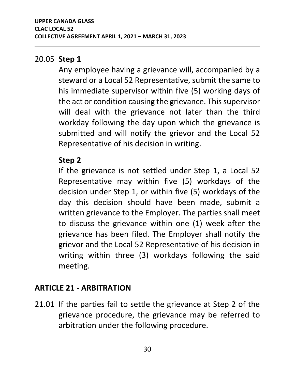#### 20.05 **Step 1**

Any employee having a grievance will, accompanied by a steward or a Local 52 Representative, submit the same to his immediate supervisor within five (5) working days of the act or condition causing the grievance. This supervisor will deal with the grievance not later than the third workday following the day upon which the grievance is submitted and will notify the grievor and the Local 52 Representative of his decision in writing.

## **Step 2**

If the grievance is not settled under Step 1, a Local 52 Representative may within five (5) workdays of the decision under Step 1, or within five (5) workdays of the day this decision should have been made, submit a written grievance to the Employer. The parties shall meet to discuss the grievance within one (1) week after the grievance has been filed. The Employer shall notify the grievor and the Local 52 Representative of his decision in writing within three (3) workdays following the said meeting.

# <span id="page-32-0"></span>**ARTICLE 21 - ARBITRATION**

21.01 If the parties fail to settle the grievance at Step 2 of the grievance procedure, the grievance may be referred to arbitration under the following procedure.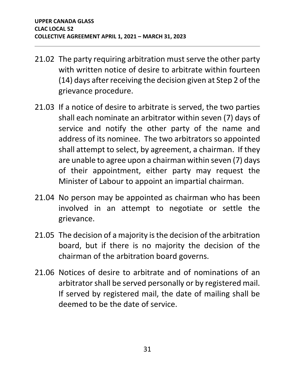- 21.02 The party requiring arbitration must serve the other party with written notice of desire to arbitrate within fourteen (14) days after receiving the decision given at Step 2 of the grievance procedure.
- 21.03 If a notice of desire to arbitrate is served, the two parties shall each nominate an arbitrator within seven (7) days of service and notify the other party of the name and address of its nominee. The two arbitrators so appointed shall attempt to select, by agreement, a chairman. If they are unable to agree upon a chairman within seven (7) days of their appointment, either party may request the Minister of Labour to appoint an impartial chairman.
- 21.04 No person may be appointed as chairman who has been involved in an attempt to negotiate or settle the grievance.
- 21.05 The decision of a majority is the decision of the arbitration board, but if there is no majority the decision of the chairman of the arbitration board governs.
- 21.06 Notices of desire to arbitrate and of nominations of an arbitrator shall be served personally or by registered mail. If served by registered mail, the date of mailing shall be deemed to be the date of service.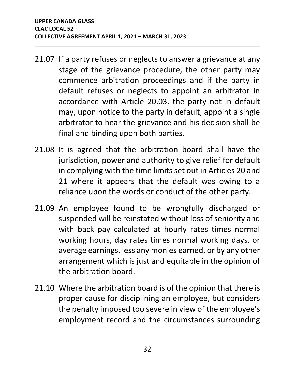- 21.07 If a party refuses or neglects to answer a grievance at any stage of the grievance procedure, the other party may commence arbitration proceedings and if the party in default refuses or neglects to appoint an arbitrator in accordance with Article 20.03, the party not in default may, upon notice to the party in default, appoint a single arbitrator to hear the grievance and his decision shall be final and binding upon both parties.
- 21.08 It is agreed that the arbitration board shall have the jurisdiction, power and authority to give relief for default in complying with the time limits set out in Articles 20 and 21 where it appears that the default was owing to a reliance upon the words or conduct of the other party.
- 21.09 An employee found to be wrongfully discharged or suspended will be reinstated without loss of seniority and with back pay calculated at hourly rates times normal working hours, day rates times normal working days, or average earnings, less any monies earned, or by any other arrangement which is just and equitable in the opinion of the arbitration board.
- 21.10 Where the arbitration board is of the opinion that there is proper cause for disciplining an employee, but considers the penalty imposed too severe in view of the employee's employment record and the circumstances surrounding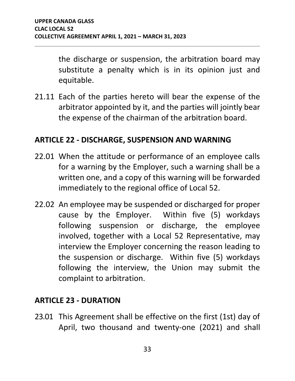the discharge or suspension, the arbitration board may substitute a penalty which is in its opinion just and equitable.

21.11 Each of the parties hereto will bear the expense of the arbitrator appointed by it, and the parties will jointly bear the expense of the chairman of the arbitration board.

#### <span id="page-35-0"></span>**ARTICLE 22 - DISCHARGE, SUSPENSION AND WARNING**

- 22.01 When the attitude or performance of an employee calls for a warning by the Employer, such a warning shall be a written one, and a copy of this warning will be forwarded immediately to the regional office of Local 52.
- 22.02 An employee may be suspended or discharged for proper cause by the Employer. Within five (5) workdays following suspension or discharge, the employee involved, together with a Local 52 Representative, may interview the Employer concerning the reason leading to the suspension or discharge. Within five (5) workdays following the interview, the Union may submit the complaint to arbitration.

#### <span id="page-35-1"></span>**ARTICLE 23 - DURATION**

23.01 This Agreement shall be effective on the first (1st) day of April, two thousand and twenty-one (2021) and shall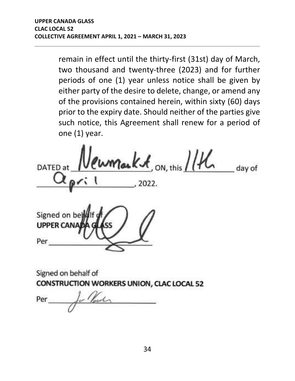remain in effect until the thirty-first (31st) day of March, two thousand and twenty-three (2023) and for further periods of one (1) year unless notice shall be given by either party of the desire to delete, change, or amend any of the provisions contained herein, within sixty (60) days prior to the expiry date. Should neither of the parties give such notice, this Agreement shall renew for a period of one (1) year.

 $m_{\text{out}}$ Kot, on, this  $114$ DATED at day of

Signed on be **UPPER CAN** Per

Signed on behalf of CONSTRUCTION WORKERS UNION, CLAC LOCAL 52

Per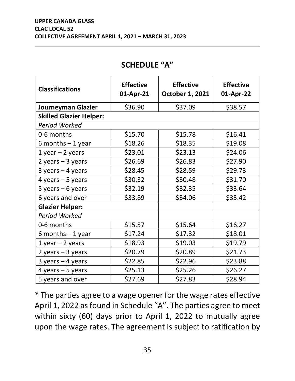<span id="page-37-0"></span>

| <b>Classifications</b>         | <b>Effective</b><br>01-Apr-21 | <b>Effective</b><br><b>October 1, 2021</b> | <b>Effective</b><br>01-Apr-22 |  |
|--------------------------------|-------------------------------|--------------------------------------------|-------------------------------|--|
| Journeyman Glazier             | \$36.90                       | \$37.09                                    | \$38.57                       |  |
| <b>Skilled Glazier Helper:</b> |                               |                                            |                               |  |
| <b>Period Worked</b>           |                               |                                            |                               |  |
| 0-6 months                     | \$15.70                       | \$15.78                                    | \$16.41                       |  |
| 6 months $-1$ year             | \$18.26                       | \$18.35                                    | \$19.08                       |  |
| $1$ year $-2$ years            | \$23.01                       | \$23.13                                    | \$24.06                       |  |
| 2 years $-3$ years             | \$26.69                       | \$26.83                                    | \$27.90                       |  |
| $3$ years $-4$ years           | \$28.45                       | \$28.59                                    | \$29.73                       |  |
| 4 years $-5$ years             | \$30.32                       | \$30.48                                    | \$31.70                       |  |
| 5 years $-6$ years             | \$32.19                       | \$32.35                                    | \$33.64                       |  |
| 6 years and over               | \$33.89                       | \$34.06                                    | \$35.42                       |  |
| <b>Glazier Helper:</b>         |                               |                                            |                               |  |
| <b>Period Worked</b>           |                               |                                            |                               |  |
| 0-6 months                     | \$15.57                       | \$15.64                                    | \$16.27                       |  |
| 6 months $-1$ year             | \$17.24                       | \$17.32                                    | \$18.01                       |  |
| $1$ year $-2$ years            | \$18.93                       | \$19.03                                    | \$19.79                       |  |
| 2 years $-3$ years             | \$20.79                       | \$20.89                                    | \$21.73                       |  |
| $3$ years $-4$ years           | \$22.85                       | \$22.96                                    | \$23.88                       |  |
| 4 years $-5$ years             | \$25.13                       | \$25.26                                    | \$26.27                       |  |
| 5 years and over               | \$27.69                       | \$27.83                                    | \$28.94                       |  |

\* The parties agree to a wage opener for the wage rates effective April 1, 2022 as found in Schedule "A". The parties agree to meet within sixty (60) days prior to April 1, 2022 to mutually agree upon the wage rates. The agreement is subject to ratification by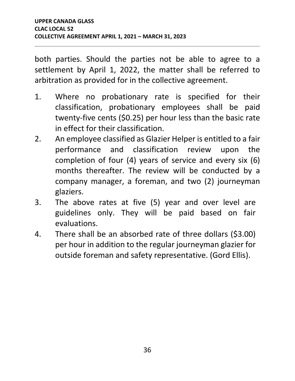both parties. Should the parties not be able to agree to a settlement by April 1, 2022, the matter shall be referred to arbitration as provided for in the collective agreement.

- 1. Where no probationary rate is specified for their classification, probationary employees shall be paid twenty-five cents (\$0.25) per hour less than the basic rate in effect for their classification.
- 2. An employee classified as Glazier Helper is entitled to a fair performance and classification review upon the completion of four (4) years of service and every six (6) months thereafter. The review will be conducted by a company manager, a foreman, and two (2) journeyman glaziers.
- 3. The above rates at five (5) year and over level are guidelines only. They will be paid based on fair evaluations.
- 4. There shall be an absorbed rate of three dollars (\$3.00) per hour in addition to the regular journeyman glazier for outside foreman and safety representative. (Gord Ellis).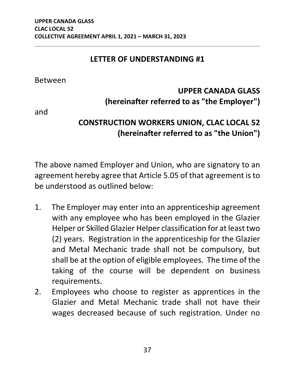#### **LETTER OF UNDERSTANDING #1**

Between

# **UPPER CANADA GLASS (hereinafter referred to as "the Employer")**

and

# **CONSTRUCTION WORKERS UNION, CLAC LOCAL 52 (hereinafter referred to as "the Union")**

The above named Employer and Union, who are signatory to an agreement hereby agree that Article 5.05 of that agreement is to be understood as outlined below:

- 1. The Employer may enter into an apprenticeship agreement with any employee who has been employed in the Glazier Helper or Skilled Glazier Helper classification for at least two (2) years. Registration in the apprenticeship for the Glazier and Metal Mechanic trade shall not be compulsory, but shall be at the option of eligible employees. The time of the taking of the course will be dependent on business requirements.
- 2. Employees who choose to register as apprentices in the Glazier and Metal Mechanic trade shall not have their wages decreased because of such registration. Under no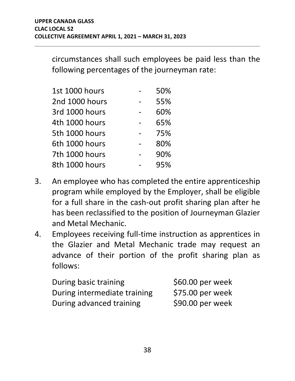circumstances shall such employees be paid less than the following percentages of the journeyman rate:

| <b>1st 1000 hours</b> | 50% |
|-----------------------|-----|
| 2nd 1000 hours        | 55% |
| 3rd 1000 hours        | 60% |
| 4th 1000 hours        | 65% |
| 5th 1000 hours        | 75% |
| 6th 1000 hours        | 80% |
| 7th 1000 hours        | 90% |
| 8th 1000 hours        | 95% |

- 3. An employee who has completed the entire apprenticeship program while employed by the Employer, shall be eligible for a full share in the cash-out profit sharing plan after he has been reclassified to the position of Journeyman Glazier and Metal Mechanic.
- 4. Employees receiving full-time instruction as apprentices in the Glazier and Metal Mechanic trade may request an advance of their portion of the profit sharing plan as follows:

| During basic training        | \$60.00 per week  |
|------------------------------|-------------------|
| During intermediate training | \$75.00 per week  |
| During advanced training     | $$90.00$ per week |